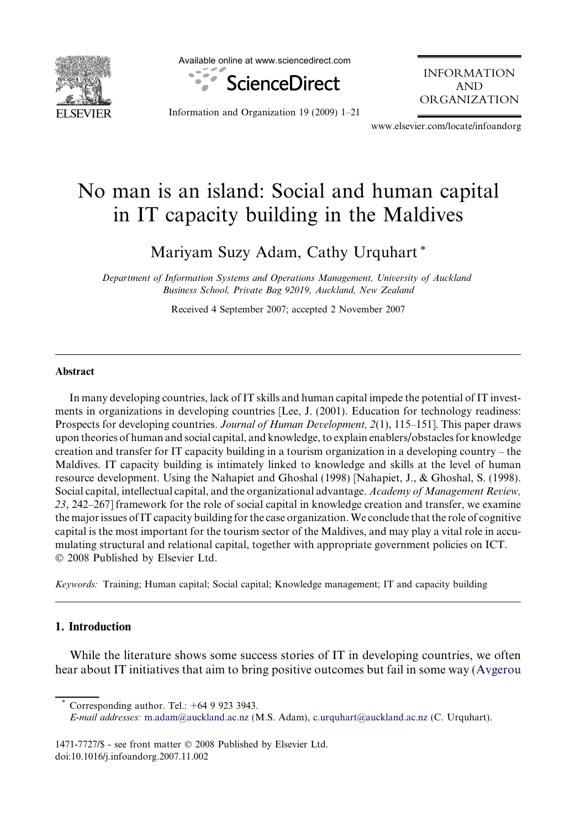

Available online at www.sciencedirect.com



Information and Organization 19 (2009) 1–21

INFORMATION AND ORGANIZATION

www.elsevier.com/locate/infoandorg

# No man is an island: Social and human capital in IT capacity building in the Maldives

Mariyam Suzy Adam, Cathy Urquhart \*

Department of Information Systems and Operations Management, University of Auckland Business School, Private Bag 92019, Auckland, New Zealand

Received 4 September 2007; accepted 2 November 2007

#### Abstract

In many developing countries, lack of IT skills and human capital impede the potential of IT investments in organizations in developing countries [Lee, J. (2001). Education for technology readiness: Prospects for developing countries. Journal of Human Development, 2(1), 115–151]. This paper draws upon theories of human and social capital, and knowledge, to explain enablers/obstacles for knowledge creation and transfer for IT capacity building in a tourism organization in a developing country – the Maldives. IT capacity building is intimately linked to knowledge and skills at the level of human resource development. Using the Nahapiet and Ghoshal (1998) [Nahapiet, J., & Ghoshal, S. (1998). Social capital, intellectual capital, and the organizational advantage. Academy of Management Review, 23, 242–267] framework for the role of social capital in knowledge creation and transfer, we examine the major issues of IT capacity building for the case organization.We conclude that the role of cognitive capital is the most important for the tourism sector of the Maldives, and may play a vital role in accumulating structural and relational capital, together with appropriate government policies on ICT. © 2008 Published by Elsevier Ltd.

Keywords: Training; Human capital; Social capital; Knowledge management; IT and capacity building

### 1. Introduction

While the literature shows some success stories of IT in developing countries, we often hear about IT initiatives that aim to bring positive outcomes but fail in some way ([Avgerou](#page--1-0)

1471-7727/\$ - see front matter © 2008 Published by Elsevier Ltd. doi:10.1016/j.infoandorg.2007.11.002

Corresponding author. Tel.:  $+64$  9 923 3943. E-mail addresses: [m.adam@auckland.ac.nz](mailto:m.adam@auckland.ac.nz) (M.S. Adam), [c.urquhart@auckland.ac.nz](mailto:c.urquhart@auckland.ac.nz) (C. Urquhart).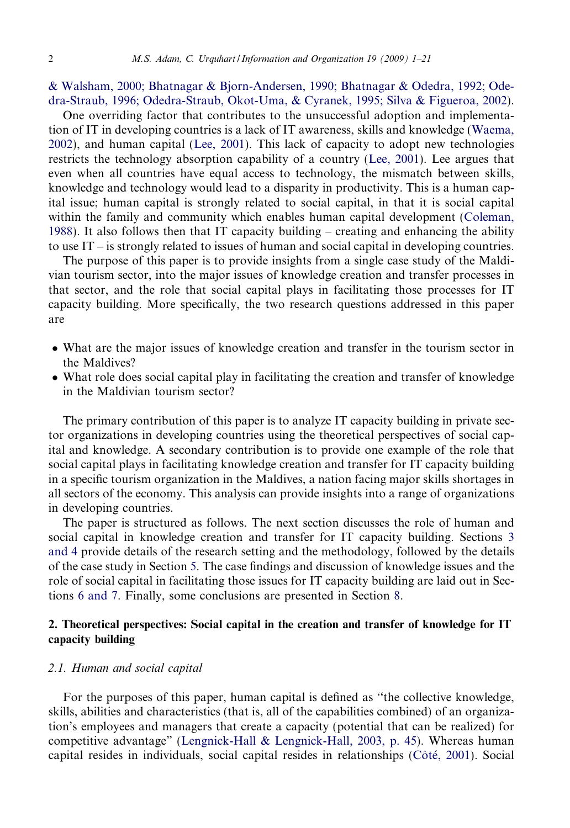[& Walsham, 2000; Bhatnagar & Bjorn-Andersen, 1990; Bhatnagar & Odedra, 1992; Ode](#page--1-0)[dra-Straub, 1996; Odedra-Straub, Okot-Uma, & Cyranek, 1995; Silva & Figueroa, 2002](#page--1-0)).

One overriding factor that contributes to the unsuccessful adoption and implementation of IT in developing countries is a lack of IT awareness, skills and knowledge [\(Waema,](#page--1-0) [2002\)](#page--1-0), and human capital [\(Lee, 2001](#page--1-0)). This lack of capacity to adopt new technologies restricts the technology absorption capability of a country ([Lee, 2001\)](#page--1-0). Lee argues that even when all countries have equal access to technology, the mismatch between skills, knowledge and technology would lead to a disparity in productivity. This is a human capital issue; human capital is strongly related to social capital, in that it is social capital within the family and community which enables human capital development [\(Coleman,](#page--1-0) [1988\)](#page--1-0). It also follows then that IT capacity building – creating and enhancing the ability to use IT – is strongly related to issues of human and social capital in developing countries.

The purpose of this paper is to provide insights from a single case study of the Maldivian tourism sector, into the major issues of knowledge creation and transfer processes in that sector, and the role that social capital plays in facilitating those processes for IT capacity building. More specifically, the two research questions addressed in this paper are

- What are the major issues of knowledge creation and transfer in the tourism sector in the Maldives?
- What role does social capital play in facilitating the creation and transfer of knowledge in the Maldivian tourism sector?

The primary contribution of this paper is to analyze IT capacity building in private sector organizations in developing countries using the theoretical perspectives of social capital and knowledge. A secondary contribution is to provide one example of the role that social capital plays in facilitating knowledge creation and transfer for IT capacity building in a specific tourism organization in the Maldives, a nation facing major skills shortages in all sectors of the economy. This analysis can provide insights into a range of organizations in developing countries.

The paper is structured as follows. The next section discusses the role of human and social capital in knowledge creation and transfer for IT capacity building. Sections [3](#page--1-0) [and 4](#page--1-0) provide details of the research setting and the methodology, followed by the details of the case study in Section [5](#page--1-0). The case findings and discussion of knowledge issues and the role of social capital in facilitating those issues for IT capacity building are laid out in Sections [6 and 7.](#page--1-0) Finally, some conclusions are presented in Section [8.](#page--1-0)

## 2. Theoretical perspectives: Social capital in the creation and transfer of knowledge for IT capacity building

### 2.1. Human and social capital

For the purposes of this paper, human capital is defined as ''the collective knowledge, skills, abilities and characteristics (that is, all of the capabilities combined) of an organization's employees and managers that create a capacity (potential that can be realized) for competitive advantage" ([Lengnick-Hall & Lengnick-Hall, 2003, p. 45](#page--1-0)). Whereas human capital resides in individuals, social capital resides in relationships (Côté, 2001). Social